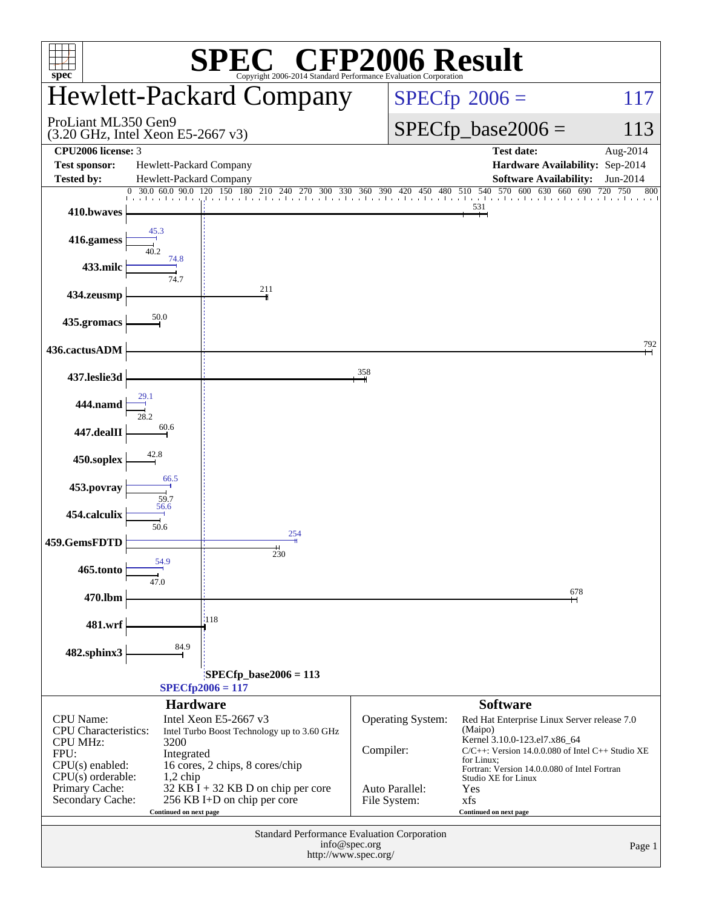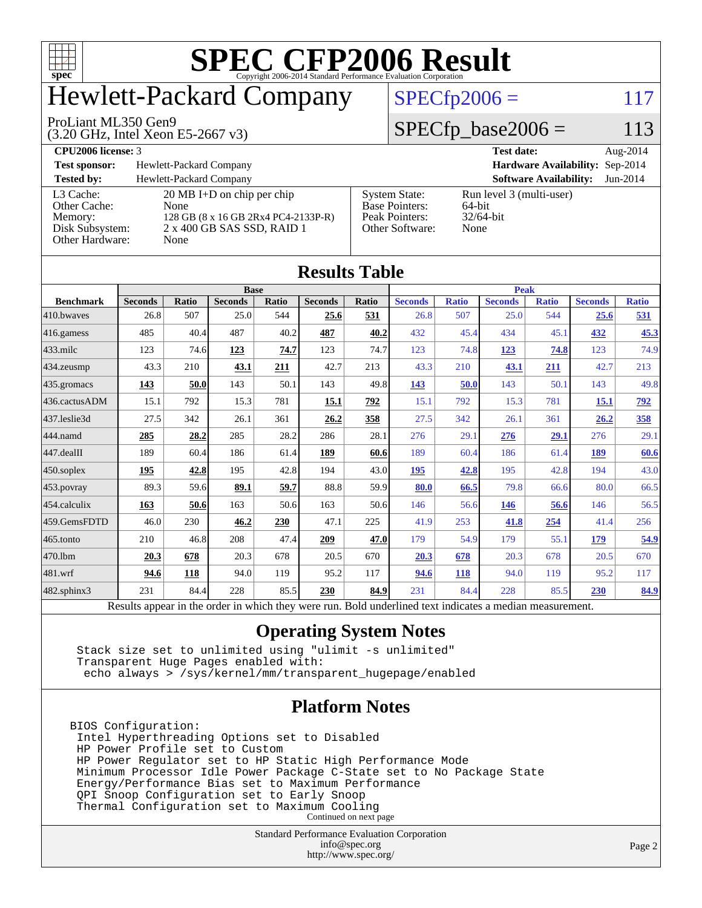

# Hewlett-Packard Company

#### ProLiant ML350 Gen9

(3.20 GHz, Intel Xeon E5-2667 v3)

 $SPECfp2006 = 117$  $SPECfp2006 = 117$ 

### $SPECfp\_base2006 = 113$

**[CPU2006 license:](http://www.spec.org/auto/cpu2006/Docs/result-fields.html#CPU2006license)** 3 **[Test date:](http://www.spec.org/auto/cpu2006/Docs/result-fields.html#Testdate)** Aug-2014 **[Test sponsor:](http://www.spec.org/auto/cpu2006/Docs/result-fields.html#Testsponsor)** Hewlett-Packard Company **[Hardware Availability:](http://www.spec.org/auto/cpu2006/Docs/result-fields.html#HardwareAvailability)** Sep-2014 **[Tested by:](http://www.spec.org/auto/cpu2006/Docs/result-fields.html#Testedby)** Hewlett-Packard Company **[Software Availability:](http://www.spec.org/auto/cpu2006/Docs/result-fields.html#SoftwareAvailability)** Jun-2014 [L3 Cache:](http://www.spec.org/auto/cpu2006/Docs/result-fields.html#L3Cache) 20 MB I+D on chip per chip<br>Other Cache: None [Other Cache:](http://www.spec.org/auto/cpu2006/Docs/result-fields.html#OtherCache) [Memory:](http://www.spec.org/auto/cpu2006/Docs/result-fields.html#Memory) 128 GB (8 x 16 GB 2Rx4 PC4-2133P-R) [Disk Subsystem:](http://www.spec.org/auto/cpu2006/Docs/result-fields.html#DiskSubsystem) 2 x 400 GB SAS SSD, RAID 1 [Other Hardware:](http://www.spec.org/auto/cpu2006/Docs/result-fields.html#OtherHardware) None [System State:](http://www.spec.org/auto/cpu2006/Docs/result-fields.html#SystemState) Run level 3 (multi-user)<br>Base Pointers: 64-bit [Base Pointers:](http://www.spec.org/auto/cpu2006/Docs/result-fields.html#BasePointers) 64-bit<br>Peak Pointers: 32/64-bit [Peak Pointers:](http://www.spec.org/auto/cpu2006/Docs/result-fields.html#PeakPointers) [Other Software:](http://www.spec.org/auto/cpu2006/Docs/result-fields.html#OtherSoftware) None

| <b>Results Table</b>   |                                                                                                          |       |                |       |                |       |                |              |                |              |                |              |
|------------------------|----------------------------------------------------------------------------------------------------------|-------|----------------|-------|----------------|-------|----------------|--------------|----------------|--------------|----------------|--------------|
|                        | <b>Base</b>                                                                                              |       |                |       |                |       | <b>Peak</b>    |              |                |              |                |              |
| <b>Benchmark</b>       | <b>Seconds</b>                                                                                           | Ratio | <b>Seconds</b> | Ratio | <b>Seconds</b> | Ratio | <b>Seconds</b> | <b>Ratio</b> | <b>Seconds</b> | <b>Ratio</b> | <b>Seconds</b> | <b>Ratio</b> |
| 410.bwayes             | 26.8                                                                                                     | 507   | 25.0           | 544   | 25.6           | 531   | 26.8           | 507          | 25.0           | 544          | 25.6           | 531          |
| $416$ .gamess          | 485                                                                                                      | 40.4  | 487            | 40.2  | 487            | 40.2  | 432            | 45.4         | 434            | 45.1         | 432            | 45.3         |
| $433$ .milc            | 123                                                                                                      | 74.6  | 123            | 74.7  | 123            | 74.7  | 123            | 74.8         | 123            | 74.8         | 123            | 74.9         |
| $434$ . zeusmp         | 43.3                                                                                                     | 210   | 43.1           | 211   | 42.7           | 213   | 43.3           | 210          | 43.1           | 211          | 42.7           | 213          |
| $435.$ gromacs         | 143                                                                                                      | 50.0  | 143            | 50.1  | 143            | 49.8  | 143            | 50.0         | 143            | 50.1         | 143            | 49.8         |
| 436.cactusADM          | 15.1                                                                                                     | 792   | 15.3           | 781   | 15.1           | 792   | 15.1           | 792          | 15.3           | 781          | 15.1           | <u>792</u>   |
| 437.leslie3d           | 27.5                                                                                                     | 342   | 26.1           | 361   | 26.2           | 358   | 27.5           | 342          | 26.1           | 361          | 26.2           | <u>358</u>   |
| 444.namd               | 285                                                                                                      | 28.2  | 285            | 28.2  | 286            | 28.1  | 276            | 29.1         | 276            | 29.1         | 276            | 29.1         |
| $ 447 \text{.}$ dealII | 189                                                                                                      | 60.4  | 186            | 61.4  | 189            | 60.6  | 189            | 60.4         | 186            | 61.4         | 189            | 60.6         |
| $450$ .soplex          | 195                                                                                                      | 42.8  | 195            | 42.8  | 194            | 43.0  | 195            | 42.8         | 195            | 42.8         | 194            | 43.0         |
| $453$ .povray          | 89.3                                                                                                     | 59.6  | 89.1           | 59.7  | 88.8           | 59.9  | 80.0           | 66.5         | 79.8           | 66.6         | 80.0           | 66.5         |
| $454$ .calculix        | 163                                                                                                      | 50.6  | 163            | 50.6  | 163            | 50.6  | 146            | 56.6         | 146            | 56.6         | 146            | 56.5         |
| 459.GemsFDTD           | 46.0                                                                                                     | 230   | 46.2           | 230   | 47.1           | 225   | 41.9           | 253          | 41.8           | 254          | 41.4           | 256          |
| $465$ .tonto           | 210                                                                                                      | 46.8  | 208            | 47.4  | 209            | 47.0  | 179            | 54.9         | 179            | 55.1         | 179            | 54.9         |
| 470.1bm                | 20.3                                                                                                     | 678   | 20.3           | 678   | 20.5           | 670   | 20.3           | 678          | 20.3           | 678          | 20.5           | 670          |
| $ 481$ .wrf            | 94.6                                                                                                     | 118   | 94.0           | 119   | 95.2           | 117   | 94.6           | <b>118</b>   | 94.0           | 119          | 95.2           | 117          |
| $482$ .sphinx $3$      | 231                                                                                                      | 84.4  | 228            | 85.5  | 230            | 84.9  | 231            | 84.4         | 228            | 85.5         | 230            | 84.9         |
|                        | Results appear in the order in which they were run. Bold underlined text indicates a median measurement. |       |                |       |                |       |                |              |                |              |                |              |

### **[Operating System Notes](http://www.spec.org/auto/cpu2006/Docs/result-fields.html#OperatingSystemNotes)**

 Stack size set to unlimited using "ulimit -s unlimited" Transparent Huge Pages enabled with: echo always > /sys/kernel/mm/transparent\_hugepage/enabled

### **[Platform Notes](http://www.spec.org/auto/cpu2006/Docs/result-fields.html#PlatformNotes)**

BIOS Configuration: Intel Hyperthreading Options set to Disabled HP Power Profile set to Custom HP Power Regulator set to HP Static High Performance Mode Minimum Processor Idle Power Package C-State set to No Package State Energy/Performance Bias set to Maximum Performance QPI Snoop Configuration set to Early Snoop Thermal Configuration set to Maximum Cooling Continued on next page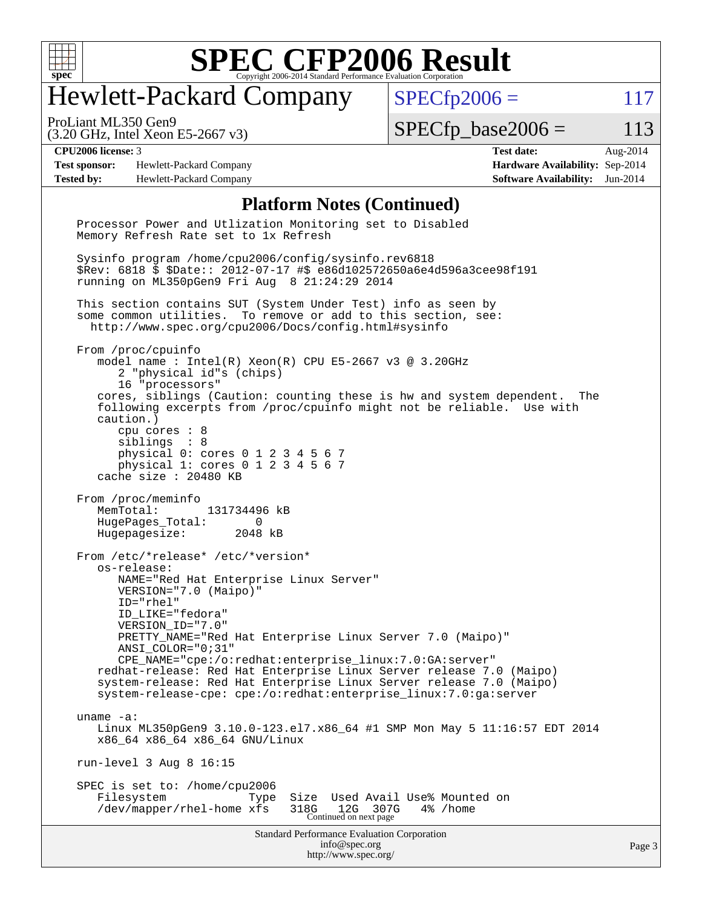

# Hewlett-Packard Company

 $SPECfp2006 = 117$  $SPECfp2006 = 117$ 

(3.20 GHz, Intel Xeon E5-2667 v3) ProLiant ML350 Gen9

 $SPECTp\_base2006 = 113$ 

**[Test sponsor:](http://www.spec.org/auto/cpu2006/Docs/result-fields.html#Testsponsor)** Hewlett-Packard Company **[Hardware Availability:](http://www.spec.org/auto/cpu2006/Docs/result-fields.html#HardwareAvailability)** Sep-2014 **[Tested by:](http://www.spec.org/auto/cpu2006/Docs/result-fields.html#Testedby)** Hewlett-Packard Company **[Software Availability:](http://www.spec.org/auto/cpu2006/Docs/result-fields.html#SoftwareAvailability)** Jun-2014

**[CPU2006 license:](http://www.spec.org/auto/cpu2006/Docs/result-fields.html#CPU2006license)** 3 **[Test date:](http://www.spec.org/auto/cpu2006/Docs/result-fields.html#Testdate)** Aug-2014

#### **[Platform Notes \(Continued\)](http://www.spec.org/auto/cpu2006/Docs/result-fields.html#PlatformNotes)**

Standard Performance Evaluation Corporation [info@spec.org](mailto:info@spec.org) <http://www.spec.org/> Processor Power and Utlization Monitoring set to Disabled Memory Refresh Rate set to 1x Refresh Sysinfo program /home/cpu2006/config/sysinfo.rev6818 \$Rev: 6818 \$ \$Date:: 2012-07-17 #\$ e86d102572650a6e4d596a3cee98f191 running on ML350pGen9 Fri Aug 8 21:24:29 2014 This section contains SUT (System Under Test) info as seen by some common utilities. To remove or add to this section, see: <http://www.spec.org/cpu2006/Docs/config.html#sysinfo> From /proc/cpuinfo model name : Intel(R) Xeon(R) CPU E5-2667 v3 @ 3.20GHz 2 "physical id"s (chips) 16 "processors" cores, siblings (Caution: counting these is hw and system dependent. The following excerpts from /proc/cpuinfo might not be reliable. Use with caution.) cpu cores : 8 siblings : 8 physical 0: cores 0 1 2 3 4 5 6 7 physical 1: cores 0 1 2 3 4 5 6 7 cache size : 20480 KB From /proc/meminfo MemTotal: 131734496 kB HugePages\_Total: 0<br>Hugepagesize: 2048 kB Hugepagesize: From /etc/\*release\* /etc/\*version\* os-release: NAME="Red Hat Enterprise Linux Server" VERSION="7.0 (Maipo)" ID="rhel" ID\_LIKE="fedora" VERSION\_ID="7.0" PRETTY\_NAME="Red Hat Enterprise Linux Server 7.0 (Maipo)" ANSI\_COLOR="0;31" CPE\_NAME="cpe:/o:redhat:enterprise\_linux:7.0:GA:server" redhat-release: Red Hat Enterprise Linux Server release 7.0 (Maipo) system-release: Red Hat Enterprise Linux Server release 7.0 (Maipo) system-release-cpe: cpe:/o:redhat:enterprise\_linux:7.0:ga:server uname -a: Linux ML350pGen9 3.10.0-123.el7.x86\_64 #1 SMP Mon May 5 11:16:57 EDT 2014 x86\_64 x86\_64 x86\_64 GNU/Linux run-level 3 Aug 8 16:15 SPEC is set to: /home/cpu2006 Filesystem Type Size Used Avail Use% Mounted on /dev/mapper/rhel-home xfs 318G 12G 307G 4% /home Continued on next page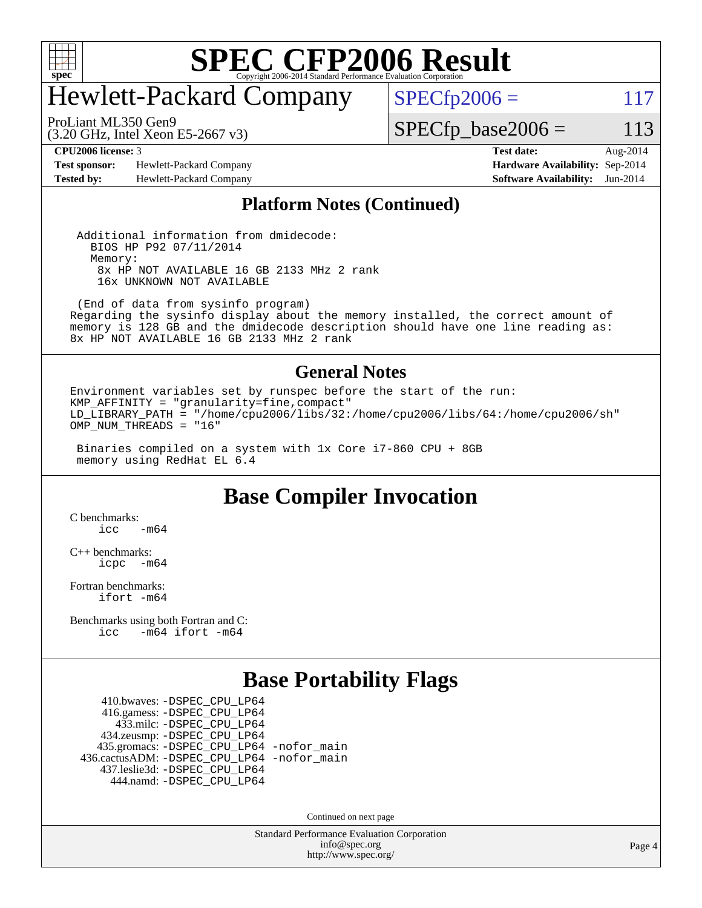

# Hewlett-Packard Company

 $SPECTp2006 = 117$ 

(3.20 GHz, Intel Xeon E5-2667 v3) ProLiant ML350 Gen9

 $SPECfp\_base2006 = 113$ 

**[Test sponsor:](http://www.spec.org/auto/cpu2006/Docs/result-fields.html#Testsponsor)** Hewlett-Packard Company **[Hardware Availability:](http://www.spec.org/auto/cpu2006/Docs/result-fields.html#HardwareAvailability)** Sep-2014 **[Tested by:](http://www.spec.org/auto/cpu2006/Docs/result-fields.html#Testedby)** Hewlett-Packard Company **[Software Availability:](http://www.spec.org/auto/cpu2006/Docs/result-fields.html#SoftwareAvailability)** Jun-2014

**[CPU2006 license:](http://www.spec.org/auto/cpu2006/Docs/result-fields.html#CPU2006license)** 3 **[Test date:](http://www.spec.org/auto/cpu2006/Docs/result-fields.html#Testdate)** Aug-2014

#### **[Platform Notes \(Continued\)](http://www.spec.org/auto/cpu2006/Docs/result-fields.html#PlatformNotes)**

 Additional information from dmidecode: BIOS HP P92 07/11/2014 Memory: 8x HP NOT AVAILABLE 16 GB 2133 MHz 2 rank 16x UNKNOWN NOT AVAILABLE

 (End of data from sysinfo program) Regarding the sysinfo display about the memory installed, the correct amount of memory is 128 GB and the dmidecode description should have one line reading as: 8x HP NOT AVAILABLE 16 GB 2133 MHz 2 rank

#### **[General Notes](http://www.spec.org/auto/cpu2006/Docs/result-fields.html#GeneralNotes)**

Environment variables set by runspec before the start of the run: KMP\_AFFINITY = "granularity=fine,compact" LD  $\overline{L}$ IBRARY\_PATH = "/home/cpu2006/libs/32:/home/cpu2006/libs/64:/home/cpu2006/sh" OMP\_NUM\_THREADS = "16"

 Binaries compiled on a system with 1x Core i7-860 CPU + 8GB memory using RedHat EL 6.4

### **[Base Compiler Invocation](http://www.spec.org/auto/cpu2006/Docs/result-fields.html#BaseCompilerInvocation)**

[C benchmarks](http://www.spec.org/auto/cpu2006/Docs/result-fields.html#Cbenchmarks):  $\text{icc}$   $-\text{m64}$ 

[C++ benchmarks:](http://www.spec.org/auto/cpu2006/Docs/result-fields.html#CXXbenchmarks) [icpc -m64](http://www.spec.org/cpu2006/results/res2014q3/cpu2006-20140908-31243.flags.html#user_CXXbase_intel_icpc_64bit_bedb90c1146cab66620883ef4f41a67e)

[Fortran benchmarks](http://www.spec.org/auto/cpu2006/Docs/result-fields.html#Fortranbenchmarks): [ifort -m64](http://www.spec.org/cpu2006/results/res2014q3/cpu2006-20140908-31243.flags.html#user_FCbase_intel_ifort_64bit_ee9d0fb25645d0210d97eb0527dcc06e)

[Benchmarks using both Fortran and C](http://www.spec.org/auto/cpu2006/Docs/result-fields.html#BenchmarksusingbothFortranandC): [icc -m64](http://www.spec.org/cpu2006/results/res2014q3/cpu2006-20140908-31243.flags.html#user_CC_FCbase_intel_icc_64bit_0b7121f5ab7cfabee23d88897260401c) [ifort -m64](http://www.spec.org/cpu2006/results/res2014q3/cpu2006-20140908-31243.flags.html#user_CC_FCbase_intel_ifort_64bit_ee9d0fb25645d0210d97eb0527dcc06e)

### **[Base Portability Flags](http://www.spec.org/auto/cpu2006/Docs/result-fields.html#BasePortabilityFlags)**

 410.bwaves: [-DSPEC\\_CPU\\_LP64](http://www.spec.org/cpu2006/results/res2014q3/cpu2006-20140908-31243.flags.html#suite_basePORTABILITY410_bwaves_DSPEC_CPU_LP64) 416.gamess: [-DSPEC\\_CPU\\_LP64](http://www.spec.org/cpu2006/results/res2014q3/cpu2006-20140908-31243.flags.html#suite_basePORTABILITY416_gamess_DSPEC_CPU_LP64) 433.milc: [-DSPEC\\_CPU\\_LP64](http://www.spec.org/cpu2006/results/res2014q3/cpu2006-20140908-31243.flags.html#suite_basePORTABILITY433_milc_DSPEC_CPU_LP64) 434.zeusmp: [-DSPEC\\_CPU\\_LP64](http://www.spec.org/cpu2006/results/res2014q3/cpu2006-20140908-31243.flags.html#suite_basePORTABILITY434_zeusmp_DSPEC_CPU_LP64) 435.gromacs: [-DSPEC\\_CPU\\_LP64](http://www.spec.org/cpu2006/results/res2014q3/cpu2006-20140908-31243.flags.html#suite_basePORTABILITY435_gromacs_DSPEC_CPU_LP64) [-nofor\\_main](http://www.spec.org/cpu2006/results/res2014q3/cpu2006-20140908-31243.flags.html#user_baseLDPORTABILITY435_gromacs_f-nofor_main) 436.cactusADM: [-DSPEC\\_CPU\\_LP64](http://www.spec.org/cpu2006/results/res2014q3/cpu2006-20140908-31243.flags.html#suite_basePORTABILITY436_cactusADM_DSPEC_CPU_LP64) [-nofor\\_main](http://www.spec.org/cpu2006/results/res2014q3/cpu2006-20140908-31243.flags.html#user_baseLDPORTABILITY436_cactusADM_f-nofor_main) 437.leslie3d: [-DSPEC\\_CPU\\_LP64](http://www.spec.org/cpu2006/results/res2014q3/cpu2006-20140908-31243.flags.html#suite_basePORTABILITY437_leslie3d_DSPEC_CPU_LP64) 444.namd: [-DSPEC\\_CPU\\_LP64](http://www.spec.org/cpu2006/results/res2014q3/cpu2006-20140908-31243.flags.html#suite_basePORTABILITY444_namd_DSPEC_CPU_LP64)

Continued on next page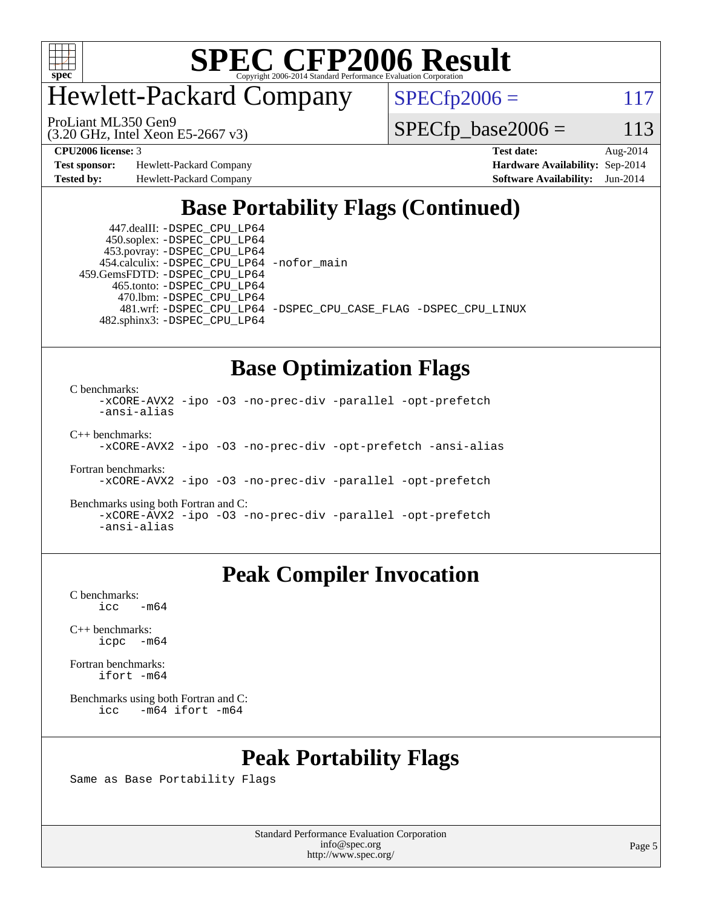

# Hewlett-Packard Company

ProLiant ML350 Gen9

 $SPECfp2006 = 117$  $SPECfp2006 = 117$ 

(3.20 GHz, Intel Xeon E5-2667 v3)

 $SPECfp\_base2006 = 113$ 

**[Test sponsor:](http://www.spec.org/auto/cpu2006/Docs/result-fields.html#Testsponsor)** Hewlett-Packard Company **[Hardware Availability:](http://www.spec.org/auto/cpu2006/Docs/result-fields.html#HardwareAvailability)** Sep-2014 **[Tested by:](http://www.spec.org/auto/cpu2006/Docs/result-fields.html#Testedby)** Hewlett-Packard Company **[Software Availability:](http://www.spec.org/auto/cpu2006/Docs/result-fields.html#SoftwareAvailability)** Jun-2014

**[CPU2006 license:](http://www.spec.org/auto/cpu2006/Docs/result-fields.html#CPU2006license)** 3 **[Test date:](http://www.spec.org/auto/cpu2006/Docs/result-fields.html#Testdate)** Aug-2014

## **[Base Portability Flags \(Continued\)](http://www.spec.org/auto/cpu2006/Docs/result-fields.html#BasePortabilityFlags)**

 447.dealII: [-DSPEC\\_CPU\\_LP64](http://www.spec.org/cpu2006/results/res2014q3/cpu2006-20140908-31243.flags.html#suite_basePORTABILITY447_dealII_DSPEC_CPU_LP64) 450.soplex: [-DSPEC\\_CPU\\_LP64](http://www.spec.org/cpu2006/results/res2014q3/cpu2006-20140908-31243.flags.html#suite_basePORTABILITY450_soplex_DSPEC_CPU_LP64) 453.povray: [-DSPEC\\_CPU\\_LP64](http://www.spec.org/cpu2006/results/res2014q3/cpu2006-20140908-31243.flags.html#suite_basePORTABILITY453_povray_DSPEC_CPU_LP64) 454.calculix: [-DSPEC\\_CPU\\_LP64](http://www.spec.org/cpu2006/results/res2014q3/cpu2006-20140908-31243.flags.html#suite_basePORTABILITY454_calculix_DSPEC_CPU_LP64) [-nofor\\_main](http://www.spec.org/cpu2006/results/res2014q3/cpu2006-20140908-31243.flags.html#user_baseLDPORTABILITY454_calculix_f-nofor_main) 459.GemsFDTD: [-DSPEC\\_CPU\\_LP64](http://www.spec.org/cpu2006/results/res2014q3/cpu2006-20140908-31243.flags.html#suite_basePORTABILITY459_GemsFDTD_DSPEC_CPU_LP64) 465.tonto: [-DSPEC\\_CPU\\_LP64](http://www.spec.org/cpu2006/results/res2014q3/cpu2006-20140908-31243.flags.html#suite_basePORTABILITY465_tonto_DSPEC_CPU_LP64) 470.lbm: [-DSPEC\\_CPU\\_LP64](http://www.spec.org/cpu2006/results/res2014q3/cpu2006-20140908-31243.flags.html#suite_basePORTABILITY470_lbm_DSPEC_CPU_LP64) 481.wrf: [-DSPEC\\_CPU\\_LP64](http://www.spec.org/cpu2006/results/res2014q3/cpu2006-20140908-31243.flags.html#suite_basePORTABILITY481_wrf_DSPEC_CPU_LP64) [-DSPEC\\_CPU\\_CASE\\_FLAG](http://www.spec.org/cpu2006/results/res2014q3/cpu2006-20140908-31243.flags.html#b481.wrf_baseCPORTABILITY_DSPEC_CPU_CASE_FLAG) [-DSPEC\\_CPU\\_LINUX](http://www.spec.org/cpu2006/results/res2014q3/cpu2006-20140908-31243.flags.html#b481.wrf_baseCPORTABILITY_DSPEC_CPU_LINUX) 482.sphinx3: [-DSPEC\\_CPU\\_LP64](http://www.spec.org/cpu2006/results/res2014q3/cpu2006-20140908-31243.flags.html#suite_basePORTABILITY482_sphinx3_DSPEC_CPU_LP64)

## **[Base Optimization Flags](http://www.spec.org/auto/cpu2006/Docs/result-fields.html#BaseOptimizationFlags)**

[C benchmarks](http://www.spec.org/auto/cpu2006/Docs/result-fields.html#Cbenchmarks):

[-xCORE-AVX2](http://www.spec.org/cpu2006/results/res2014q3/cpu2006-20140908-31243.flags.html#user_CCbase_f-xAVX2_5f5fc0cbe2c9f62c816d3e45806c70d7) [-ipo](http://www.spec.org/cpu2006/results/res2014q3/cpu2006-20140908-31243.flags.html#user_CCbase_f-ipo) [-O3](http://www.spec.org/cpu2006/results/res2014q3/cpu2006-20140908-31243.flags.html#user_CCbase_f-O3) [-no-prec-div](http://www.spec.org/cpu2006/results/res2014q3/cpu2006-20140908-31243.flags.html#user_CCbase_f-no-prec-div) [-parallel](http://www.spec.org/cpu2006/results/res2014q3/cpu2006-20140908-31243.flags.html#user_CCbase_f-parallel) [-opt-prefetch](http://www.spec.org/cpu2006/results/res2014q3/cpu2006-20140908-31243.flags.html#user_CCbase_f-opt-prefetch) [-ansi-alias](http://www.spec.org/cpu2006/results/res2014q3/cpu2006-20140908-31243.flags.html#user_CCbase_f-ansi-alias) [C++ benchmarks:](http://www.spec.org/auto/cpu2006/Docs/result-fields.html#CXXbenchmarks) [-xCORE-AVX2](http://www.spec.org/cpu2006/results/res2014q3/cpu2006-20140908-31243.flags.html#user_CXXbase_f-xAVX2_5f5fc0cbe2c9f62c816d3e45806c70d7) [-ipo](http://www.spec.org/cpu2006/results/res2014q3/cpu2006-20140908-31243.flags.html#user_CXXbase_f-ipo) [-O3](http://www.spec.org/cpu2006/results/res2014q3/cpu2006-20140908-31243.flags.html#user_CXXbase_f-O3) [-no-prec-div](http://www.spec.org/cpu2006/results/res2014q3/cpu2006-20140908-31243.flags.html#user_CXXbase_f-no-prec-div) [-opt-prefetch](http://www.spec.org/cpu2006/results/res2014q3/cpu2006-20140908-31243.flags.html#user_CXXbase_f-opt-prefetch) [-ansi-alias](http://www.spec.org/cpu2006/results/res2014q3/cpu2006-20140908-31243.flags.html#user_CXXbase_f-ansi-alias)

[Fortran benchmarks](http://www.spec.org/auto/cpu2006/Docs/result-fields.html#Fortranbenchmarks):

[-xCORE-AVX2](http://www.spec.org/cpu2006/results/res2014q3/cpu2006-20140908-31243.flags.html#user_FCbase_f-xAVX2_5f5fc0cbe2c9f62c816d3e45806c70d7) [-ipo](http://www.spec.org/cpu2006/results/res2014q3/cpu2006-20140908-31243.flags.html#user_FCbase_f-ipo) [-O3](http://www.spec.org/cpu2006/results/res2014q3/cpu2006-20140908-31243.flags.html#user_FCbase_f-O3) [-no-prec-div](http://www.spec.org/cpu2006/results/res2014q3/cpu2006-20140908-31243.flags.html#user_FCbase_f-no-prec-div) [-parallel](http://www.spec.org/cpu2006/results/res2014q3/cpu2006-20140908-31243.flags.html#user_FCbase_f-parallel) [-opt-prefetch](http://www.spec.org/cpu2006/results/res2014q3/cpu2006-20140908-31243.flags.html#user_FCbase_f-opt-prefetch)

[Benchmarks using both Fortran and C](http://www.spec.org/auto/cpu2006/Docs/result-fields.html#BenchmarksusingbothFortranandC):

[-xCORE-AVX2](http://www.spec.org/cpu2006/results/res2014q3/cpu2006-20140908-31243.flags.html#user_CC_FCbase_f-xAVX2_5f5fc0cbe2c9f62c816d3e45806c70d7) [-ipo](http://www.spec.org/cpu2006/results/res2014q3/cpu2006-20140908-31243.flags.html#user_CC_FCbase_f-ipo) [-O3](http://www.spec.org/cpu2006/results/res2014q3/cpu2006-20140908-31243.flags.html#user_CC_FCbase_f-O3) [-no-prec-div](http://www.spec.org/cpu2006/results/res2014q3/cpu2006-20140908-31243.flags.html#user_CC_FCbase_f-no-prec-div) [-parallel](http://www.spec.org/cpu2006/results/res2014q3/cpu2006-20140908-31243.flags.html#user_CC_FCbase_f-parallel) [-opt-prefetch](http://www.spec.org/cpu2006/results/res2014q3/cpu2006-20140908-31243.flags.html#user_CC_FCbase_f-opt-prefetch) [-ansi-alias](http://www.spec.org/cpu2006/results/res2014q3/cpu2006-20140908-31243.flags.html#user_CC_FCbase_f-ansi-alias)

### **[Peak Compiler Invocation](http://www.spec.org/auto/cpu2006/Docs/result-fields.html#PeakCompilerInvocation)**

[C benchmarks](http://www.spec.org/auto/cpu2006/Docs/result-fields.html#Cbenchmarks):  $\text{icc}$  -m64

[C++ benchmarks:](http://www.spec.org/auto/cpu2006/Docs/result-fields.html#CXXbenchmarks) [icpc -m64](http://www.spec.org/cpu2006/results/res2014q3/cpu2006-20140908-31243.flags.html#user_CXXpeak_intel_icpc_64bit_bedb90c1146cab66620883ef4f41a67e)

[Fortran benchmarks](http://www.spec.org/auto/cpu2006/Docs/result-fields.html#Fortranbenchmarks): [ifort -m64](http://www.spec.org/cpu2006/results/res2014q3/cpu2006-20140908-31243.flags.html#user_FCpeak_intel_ifort_64bit_ee9d0fb25645d0210d97eb0527dcc06e)

[Benchmarks using both Fortran and C](http://www.spec.org/auto/cpu2006/Docs/result-fields.html#BenchmarksusingbothFortranandC): [icc -m64](http://www.spec.org/cpu2006/results/res2014q3/cpu2006-20140908-31243.flags.html#user_CC_FCpeak_intel_icc_64bit_0b7121f5ab7cfabee23d88897260401c) [ifort -m64](http://www.spec.org/cpu2006/results/res2014q3/cpu2006-20140908-31243.flags.html#user_CC_FCpeak_intel_ifort_64bit_ee9d0fb25645d0210d97eb0527dcc06e)

### **[Peak Portability Flags](http://www.spec.org/auto/cpu2006/Docs/result-fields.html#PeakPortabilityFlags)**

Same as Base Portability Flags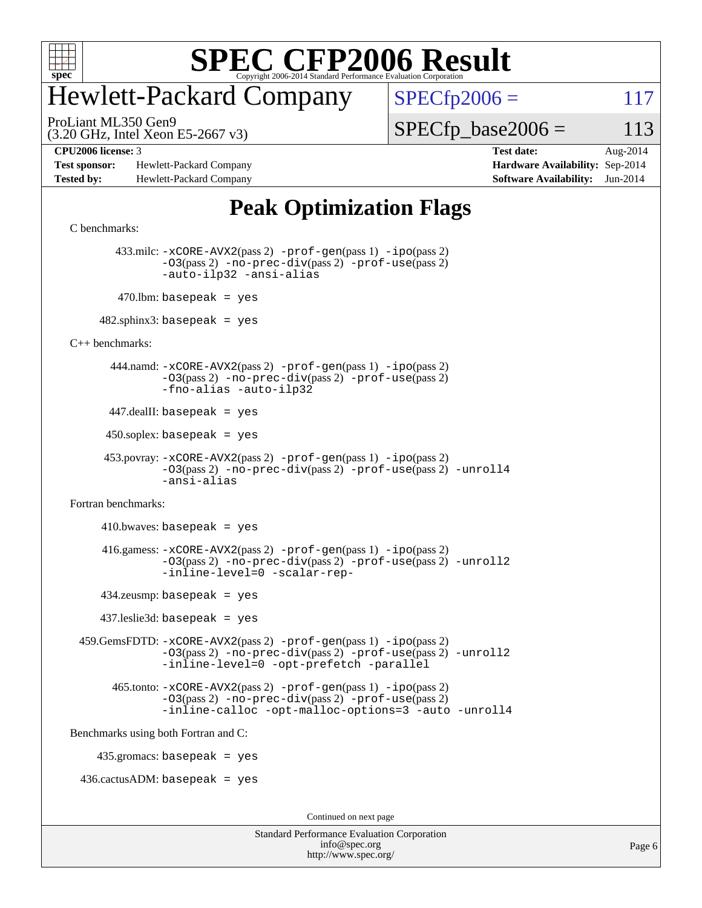

# Hewlett-Packard Company

 $SPECfp2006 = 117$  $SPECfp2006 = 117$ 

(3.20 GHz, Intel Xeon E5-2667 v3) ProLiant ML350 Gen9

 $SPECTp\_base2006 = 113$ 

**[Test sponsor:](http://www.spec.org/auto/cpu2006/Docs/result-fields.html#Testsponsor)** Hewlett-Packard Company **[Hardware Availability:](http://www.spec.org/auto/cpu2006/Docs/result-fields.html#HardwareAvailability)** Sep-2014 **[Tested by:](http://www.spec.org/auto/cpu2006/Docs/result-fields.html#Testedby)** Hewlett-Packard Company **[Software Availability:](http://www.spec.org/auto/cpu2006/Docs/result-fields.html#SoftwareAvailability)** Jun-2014

**[CPU2006 license:](http://www.spec.org/auto/cpu2006/Docs/result-fields.html#CPU2006license)** 3 **[Test date:](http://www.spec.org/auto/cpu2006/Docs/result-fields.html#Testdate)** Aug-2014

## **[Peak Optimization Flags](http://www.spec.org/auto/cpu2006/Docs/result-fields.html#PeakOptimizationFlags)**

[C benchmarks](http://www.spec.org/auto/cpu2006/Docs/result-fields.html#Cbenchmarks):

 433.milc: [-xCORE-AVX2](http://www.spec.org/cpu2006/results/res2014q3/cpu2006-20140908-31243.flags.html#user_peakPASS2_CFLAGSPASS2_LDFLAGS433_milc_f-xAVX2_5f5fc0cbe2c9f62c816d3e45806c70d7)(pass 2) [-prof-gen](http://www.spec.org/cpu2006/results/res2014q3/cpu2006-20140908-31243.flags.html#user_peakPASS1_CFLAGSPASS1_LDFLAGS433_milc_prof_gen_e43856698f6ca7b7e442dfd80e94a8fc)(pass 1) [-ipo](http://www.spec.org/cpu2006/results/res2014q3/cpu2006-20140908-31243.flags.html#user_peakPASS2_CFLAGSPASS2_LDFLAGS433_milc_f-ipo)(pass 2) [-O3](http://www.spec.org/cpu2006/results/res2014q3/cpu2006-20140908-31243.flags.html#user_peakPASS2_CFLAGSPASS2_LDFLAGS433_milc_f-O3)(pass 2) [-no-prec-div](http://www.spec.org/cpu2006/results/res2014q3/cpu2006-20140908-31243.flags.html#user_peakPASS2_CFLAGSPASS2_LDFLAGS433_milc_f-no-prec-div)(pass 2) [-prof-use](http://www.spec.org/cpu2006/results/res2014q3/cpu2006-20140908-31243.flags.html#user_peakPASS2_CFLAGSPASS2_LDFLAGS433_milc_prof_use_bccf7792157ff70d64e32fe3e1250b55)(pass 2) [-auto-ilp32](http://www.spec.org/cpu2006/results/res2014q3/cpu2006-20140908-31243.flags.html#user_peakCOPTIMIZE433_milc_f-auto-ilp32) [-ansi-alias](http://www.spec.org/cpu2006/results/res2014q3/cpu2006-20140908-31243.flags.html#user_peakCOPTIMIZE433_milc_f-ansi-alias)  $470$ .lbm: basepeak = yes

 $482$ .sphinx3: basepeak = yes

[C++ benchmarks:](http://www.spec.org/auto/cpu2006/Docs/result-fields.html#CXXbenchmarks)

 444.namd: [-xCORE-AVX2](http://www.spec.org/cpu2006/results/res2014q3/cpu2006-20140908-31243.flags.html#user_peakPASS2_CXXFLAGSPASS2_LDFLAGS444_namd_f-xAVX2_5f5fc0cbe2c9f62c816d3e45806c70d7)(pass 2) [-prof-gen](http://www.spec.org/cpu2006/results/res2014q3/cpu2006-20140908-31243.flags.html#user_peakPASS1_CXXFLAGSPASS1_LDFLAGS444_namd_prof_gen_e43856698f6ca7b7e442dfd80e94a8fc)(pass 1) [-ipo](http://www.spec.org/cpu2006/results/res2014q3/cpu2006-20140908-31243.flags.html#user_peakPASS2_CXXFLAGSPASS2_LDFLAGS444_namd_f-ipo)(pass 2) [-O3](http://www.spec.org/cpu2006/results/res2014q3/cpu2006-20140908-31243.flags.html#user_peakPASS2_CXXFLAGSPASS2_LDFLAGS444_namd_f-O3)(pass 2) [-no-prec-div](http://www.spec.org/cpu2006/results/res2014q3/cpu2006-20140908-31243.flags.html#user_peakPASS2_CXXFLAGSPASS2_LDFLAGS444_namd_f-no-prec-div)(pass 2) [-prof-use](http://www.spec.org/cpu2006/results/res2014q3/cpu2006-20140908-31243.flags.html#user_peakPASS2_CXXFLAGSPASS2_LDFLAGS444_namd_prof_use_bccf7792157ff70d64e32fe3e1250b55)(pass 2) [-fno-alias](http://www.spec.org/cpu2006/results/res2014q3/cpu2006-20140908-31243.flags.html#user_peakCXXOPTIMIZEOPTIMIZE444_namd_f-no-alias_694e77f6c5a51e658e82ccff53a9e63a) [-auto-ilp32](http://www.spec.org/cpu2006/results/res2014q3/cpu2006-20140908-31243.flags.html#user_peakCXXOPTIMIZE444_namd_f-auto-ilp32)

 $447$ .dealII: basepeak = yes

 $450$ .soplex: basepeak = yes

 453.povray: [-xCORE-AVX2](http://www.spec.org/cpu2006/results/res2014q3/cpu2006-20140908-31243.flags.html#user_peakPASS2_CXXFLAGSPASS2_LDFLAGS453_povray_f-xAVX2_5f5fc0cbe2c9f62c816d3e45806c70d7)(pass 2) [-prof-gen](http://www.spec.org/cpu2006/results/res2014q3/cpu2006-20140908-31243.flags.html#user_peakPASS1_CXXFLAGSPASS1_LDFLAGS453_povray_prof_gen_e43856698f6ca7b7e442dfd80e94a8fc)(pass 1) [-ipo](http://www.spec.org/cpu2006/results/res2014q3/cpu2006-20140908-31243.flags.html#user_peakPASS2_CXXFLAGSPASS2_LDFLAGS453_povray_f-ipo)(pass 2) [-O3](http://www.spec.org/cpu2006/results/res2014q3/cpu2006-20140908-31243.flags.html#user_peakPASS2_CXXFLAGSPASS2_LDFLAGS453_povray_f-O3)(pass 2) [-no-prec-div](http://www.spec.org/cpu2006/results/res2014q3/cpu2006-20140908-31243.flags.html#user_peakPASS2_CXXFLAGSPASS2_LDFLAGS453_povray_f-no-prec-div)(pass 2) [-prof-use](http://www.spec.org/cpu2006/results/res2014q3/cpu2006-20140908-31243.flags.html#user_peakPASS2_CXXFLAGSPASS2_LDFLAGS453_povray_prof_use_bccf7792157ff70d64e32fe3e1250b55)(pass 2) [-unroll4](http://www.spec.org/cpu2006/results/res2014q3/cpu2006-20140908-31243.flags.html#user_peakCXXOPTIMIZE453_povray_f-unroll_4e5e4ed65b7fd20bdcd365bec371b81f) [-ansi-alias](http://www.spec.org/cpu2006/results/res2014q3/cpu2006-20140908-31243.flags.html#user_peakCXXOPTIMIZE453_povray_f-ansi-alias)

[Fortran benchmarks](http://www.spec.org/auto/cpu2006/Docs/result-fields.html#Fortranbenchmarks):

 $410.bwaves: basepeak = yes$  416.gamess: [-xCORE-AVX2](http://www.spec.org/cpu2006/results/res2014q3/cpu2006-20140908-31243.flags.html#user_peakPASS2_FFLAGSPASS2_LDFLAGS416_gamess_f-xAVX2_5f5fc0cbe2c9f62c816d3e45806c70d7)(pass 2) [-prof-gen](http://www.spec.org/cpu2006/results/res2014q3/cpu2006-20140908-31243.flags.html#user_peakPASS1_FFLAGSPASS1_LDFLAGS416_gamess_prof_gen_e43856698f6ca7b7e442dfd80e94a8fc)(pass 1) [-ipo](http://www.spec.org/cpu2006/results/res2014q3/cpu2006-20140908-31243.flags.html#user_peakPASS2_FFLAGSPASS2_LDFLAGS416_gamess_f-ipo)(pass 2) [-O3](http://www.spec.org/cpu2006/results/res2014q3/cpu2006-20140908-31243.flags.html#user_peakPASS2_FFLAGSPASS2_LDFLAGS416_gamess_f-O3)(pass 2) [-no-prec-div](http://www.spec.org/cpu2006/results/res2014q3/cpu2006-20140908-31243.flags.html#user_peakPASS2_FFLAGSPASS2_LDFLAGS416_gamess_f-no-prec-div)(pass 2) [-prof-use](http://www.spec.org/cpu2006/results/res2014q3/cpu2006-20140908-31243.flags.html#user_peakPASS2_FFLAGSPASS2_LDFLAGS416_gamess_prof_use_bccf7792157ff70d64e32fe3e1250b55)(pass 2) [-unroll2](http://www.spec.org/cpu2006/results/res2014q3/cpu2006-20140908-31243.flags.html#user_peakOPTIMIZE416_gamess_f-unroll_784dae83bebfb236979b41d2422d7ec2) [-inline-level=0](http://www.spec.org/cpu2006/results/res2014q3/cpu2006-20140908-31243.flags.html#user_peakOPTIMIZE416_gamess_f-inline-level_318d07a09274ad25e8d15dbfaa68ba50) [-scalar-rep-](http://www.spec.org/cpu2006/results/res2014q3/cpu2006-20140908-31243.flags.html#user_peakOPTIMIZE416_gamess_f-disablescalarrep_abbcad04450fb118e4809c81d83c8a1d) 434.zeusmp: basepeak = yes 437.leslie3d: basepeak = yes

 459.GemsFDTD: [-xCORE-AVX2](http://www.spec.org/cpu2006/results/res2014q3/cpu2006-20140908-31243.flags.html#user_peakPASS2_FFLAGSPASS2_LDFLAGS459_GemsFDTD_f-xAVX2_5f5fc0cbe2c9f62c816d3e45806c70d7)(pass 2) [-prof-gen](http://www.spec.org/cpu2006/results/res2014q3/cpu2006-20140908-31243.flags.html#user_peakPASS1_FFLAGSPASS1_LDFLAGS459_GemsFDTD_prof_gen_e43856698f6ca7b7e442dfd80e94a8fc)(pass 1) [-ipo](http://www.spec.org/cpu2006/results/res2014q3/cpu2006-20140908-31243.flags.html#user_peakPASS2_FFLAGSPASS2_LDFLAGS459_GemsFDTD_f-ipo)(pass 2) [-O3](http://www.spec.org/cpu2006/results/res2014q3/cpu2006-20140908-31243.flags.html#user_peakPASS2_FFLAGSPASS2_LDFLAGS459_GemsFDTD_f-O3)(pass 2) [-no-prec-div](http://www.spec.org/cpu2006/results/res2014q3/cpu2006-20140908-31243.flags.html#user_peakPASS2_FFLAGSPASS2_LDFLAGS459_GemsFDTD_f-no-prec-div)(pass 2) [-prof-use](http://www.spec.org/cpu2006/results/res2014q3/cpu2006-20140908-31243.flags.html#user_peakPASS2_FFLAGSPASS2_LDFLAGS459_GemsFDTD_prof_use_bccf7792157ff70d64e32fe3e1250b55)(pass 2) [-unroll2](http://www.spec.org/cpu2006/results/res2014q3/cpu2006-20140908-31243.flags.html#user_peakOPTIMIZE459_GemsFDTD_f-unroll_784dae83bebfb236979b41d2422d7ec2) [-inline-level=0](http://www.spec.org/cpu2006/results/res2014q3/cpu2006-20140908-31243.flags.html#user_peakOPTIMIZE459_GemsFDTD_f-inline-level_318d07a09274ad25e8d15dbfaa68ba50) [-opt-prefetch](http://www.spec.org/cpu2006/results/res2014q3/cpu2006-20140908-31243.flags.html#user_peakOPTIMIZE459_GemsFDTD_f-opt-prefetch) [-parallel](http://www.spec.org/cpu2006/results/res2014q3/cpu2006-20140908-31243.flags.html#user_peakOPTIMIZE459_GemsFDTD_f-parallel)

 465.tonto: [-xCORE-AVX2](http://www.spec.org/cpu2006/results/res2014q3/cpu2006-20140908-31243.flags.html#user_peakPASS2_FFLAGSPASS2_LDFLAGS465_tonto_f-xAVX2_5f5fc0cbe2c9f62c816d3e45806c70d7)(pass 2) [-prof-gen](http://www.spec.org/cpu2006/results/res2014q3/cpu2006-20140908-31243.flags.html#user_peakPASS1_FFLAGSPASS1_LDFLAGS465_tonto_prof_gen_e43856698f6ca7b7e442dfd80e94a8fc)(pass 1) [-ipo](http://www.spec.org/cpu2006/results/res2014q3/cpu2006-20140908-31243.flags.html#user_peakPASS2_FFLAGSPASS2_LDFLAGS465_tonto_f-ipo)(pass 2) [-O3](http://www.spec.org/cpu2006/results/res2014q3/cpu2006-20140908-31243.flags.html#user_peakPASS2_FFLAGSPASS2_LDFLAGS465_tonto_f-O3)(pass 2) [-no-prec-div](http://www.spec.org/cpu2006/results/res2014q3/cpu2006-20140908-31243.flags.html#user_peakPASS2_FFLAGSPASS2_LDFLAGS465_tonto_f-no-prec-div)(pass 2) [-prof-use](http://www.spec.org/cpu2006/results/res2014q3/cpu2006-20140908-31243.flags.html#user_peakPASS2_FFLAGSPASS2_LDFLAGS465_tonto_prof_use_bccf7792157ff70d64e32fe3e1250b55)(pass 2) [-inline-calloc](http://www.spec.org/cpu2006/results/res2014q3/cpu2006-20140908-31243.flags.html#user_peakOPTIMIZE465_tonto_f-inline-calloc) [-opt-malloc-options=3](http://www.spec.org/cpu2006/results/res2014q3/cpu2006-20140908-31243.flags.html#user_peakOPTIMIZE465_tonto_f-opt-malloc-options_13ab9b803cf986b4ee62f0a5998c2238) [-auto](http://www.spec.org/cpu2006/results/res2014q3/cpu2006-20140908-31243.flags.html#user_peakOPTIMIZE465_tonto_f-auto) [-unroll4](http://www.spec.org/cpu2006/results/res2014q3/cpu2006-20140908-31243.flags.html#user_peakOPTIMIZE465_tonto_f-unroll_4e5e4ed65b7fd20bdcd365bec371b81f)

[Benchmarks using both Fortran and C](http://www.spec.org/auto/cpu2006/Docs/result-fields.html#BenchmarksusingbothFortranandC):

435.gromacs: basepeak = yes

 $436.cactusADM:basepeak = yes$ 

Continued on next page